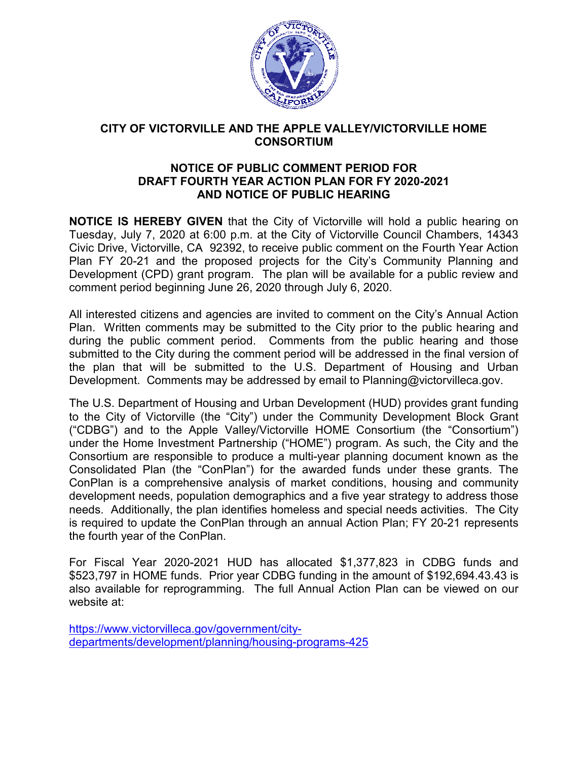

## **CITY OF VICTORVILLE AND THE APPLE VALLEY/VICTORVILLE HOME**<br>CONSORTIUM

## **NOTICE OF PUBLIC COMMENT PERIOD FOR DRAFT FOURTH FOURTH YEAR ACTION PLAN FOR FY 2020-2021 2021AND NOTICE OF PUBLIC HEARING AND**

**NOTICE IS HEREBY GIVEN** that the City of Victorville will hold a public hearing on Tuesday, July 7, 2020 at 6:00 p.m. at the City of Victorville Council Chambers, 14343 Tuesday, July 7, 2020 at 6:00 p.m. at the City of Victorville Council Chambers, 14343<br>Civic Drive, Victorville, CA 92392, to receive public comment on the Fourth Year Action Plan FY 20-21 and the proposed projects for the City's Community Planning and Development (CPD) grant program. The plan will be available for a public review and comment period beginning June 26 26, 2020 through July 6, 2020. Civic Drive, Victorville, CA 92392, to receive public comment on the Fourth Year Action<br>Plan. FY 20-21 and the proposed projects for the City's Community Planning and<br>Development (CPD) grant program. The plan will be avail

All interested citizens and agencies are invited to comment on the City's Annual Action during the public comment period. Comments from the public hearing and those submitted to the City during the comment period will be addressed in the final version of the plan that will be submitted to the U.S. Department of Housing and Urban during the public comment period. Comments from the public hearing and those submitted to the City during the comment period will be addressed in the final version of the plan that will be submitted to the U.S. Department

The U.S. Department of Housing and Urban Development (HUD) provides grant funding to the City of Victorville (the "City") under the Community Development Block Grant ("CDBG") and to the Apple Valley/Victorville HOME Consortium (the "Consortium") under the Home Investment Partnership ("HOME") program. As such, the City and the under the Home Investment Partnership ("HOME") program. As such, the City and the<br>Consortium are responsible to produce a multi-year planning document known as the Consolidated Plan (the "ConPlan") for the awarded funds under these grants. The ConPlan is a comprehensive analysis of market conditions, housing and community development needs, population demographics and a five year strategy to address those development needs, population demographics and a five year strategy to addr<br>needs. Additionally, the plan identifies homeless and special needs activities. is required to update the ConPlan through an annual Action Plan; FY 20-21 represents the fourth year of the ConPlan ConPlan. The U.S. Department of Housing and Urban Development (HUD) provides grant funding<br>to the City of Victorville (the "City") under the Community Development Block Grant<br>("CDBG") and to the Apple Valley/Victorville HOME Consor Victorville HOME Consortium (the "Consortium")<br>ship ("HOME") program. As such, the City and the<br>ice a multi-year planning document known as the<br>for the awarded funds under these grants. The<br>sis of market conditions, housin

For Fiscal Year 2020-2021 HUD has allocated \$1,377,823 in CDBG funds and \$523,797 in HOME funds. Pri HOME Prior year CDBG funding in the amount of \$192,694.43 192,694.43.43 is also available for reprogramming. The full Annual Action Plan can be viewed on our website at:

https://www.victorvilleca.gov/government/city https://www.victorvilleca.gov/government/citydepartments/development/planning/housing departments/development/planning/housing-programs-425